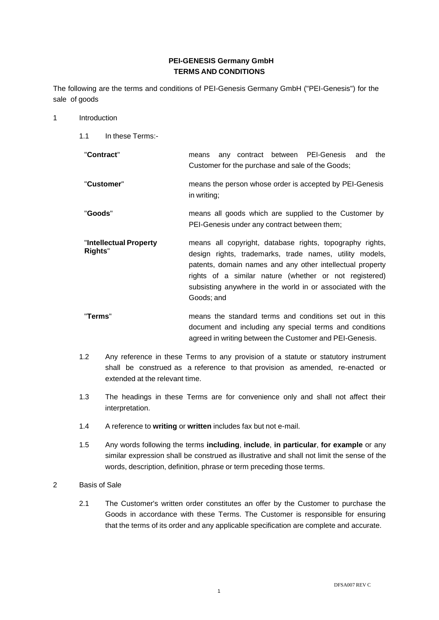# **PEI-GENESIS Germany GmbH TERMS AND CONDITIONS**

The following are the terms and conditions of PEI-Genesis Germany GmbH ("PEI-Genesis") for the sale of goods

- 1 Introduction
	- 1.1 In these Terms:-
	- "**Contract**" means any contract between PEI-Genesis and the Customer for the purchase and sale of the Goods; "**Customer**" means the person whose order is accepted by PEI-Genesis in writing; "**Goods**" means all goods which are supplied to the Customer by PEI-Genesis under any contract between them; "**Intellectual Property Rights**" means all copyright, database rights, topography rights, design rights, trademarks, trade names, utility models, patents, domain names and any other intellectual property rights of a similar nature (whether or not registered) subsisting anywhere in the world in or associated with the Goods; and
	- "**Terms**" means the standard terms and conditions set out in this document and including any special terms and conditions agreed in writing between the Customer and PEI-Genesis.
	- 1.2 Any reference in these Terms to any provision of a statute or statutory instrument shall be construed as a reference to that provision as amended, re-enacted or extended at the relevant time.
	- 1.3 The headings in these Terms are for convenience only and shall not affect their interpretation.
	- 1.4 A reference to **writing** or **written** includes fax but not e-mail.
	- 1.5 Any words following the terms **including**, **include**, **in particular**, **for example** or any similar expression shall be construed as illustrative and shall not limit the sense of the words, description, definition, phrase or term preceding those terms.
- 2 Basis of Sale
	- 2.1 The Customer's written order constitutes an offer by the Customer to purchase the Goods in accordance with these Terms. The Customer is responsible for ensuring that the terms of its order and any applicable specification are complete and accurate.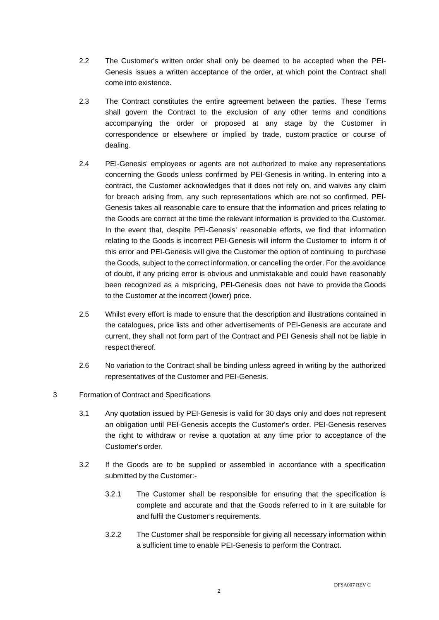- 2.2 The Customer's written order shall only be deemed to be accepted when the PEI-Genesis issues a written acceptance of the order, at which point the Contract shall come into existence.
- 2.3 The Contract constitutes the entire agreement between the parties. These Terms shall govern the Contract to the exclusion of any other terms and conditions accompanying the order or proposed at any stage by the Customer in correspondence or elsewhere or implied by trade, custom practice or course of dealing.
- 2.4 PEI-Genesis' employees or agents are not authorized to make any representations concerning the Goods unless confirmed by PEI-Genesis in writing. In entering into a contract, the Customer acknowledges that it does not rely on, and waives any claim for breach arising from, any such representations which are not so confirmed. PEI-Genesis takes all reasonable care to ensure that the information and prices relating to the Goods are correct at the time the relevant information is provided to the Customer. In the event that, despite PEI-Genesis' reasonable efforts, we find that information relating to the Goods is incorrect PEI-Genesis will inform the Customer to inform it of this error and PEI-Genesis will give the Customer the option of continuing to purchase the Goods, subject to the correct information, or cancelling the order. For the avoidance of doubt, if any pricing error is obvious and unmistakable and could have reasonably been recognized as a mispricing, PEI-Genesis does not have to provide the Goods to the Customer at the incorrect (lower) price.
- 2.5 Whilst every effort is made to ensure that the description and illustrations contained in the catalogues, price lists and other advertisements of PEI-Genesis are accurate and current, they shall not form part of the Contract and PEI Genesis shall not be liable in respect thereof.
- 2.6 No variation to the Contract shall be binding unless agreed in writing by the authorized representatives of the Customer and PEI-Genesis.

# 3 Formation of Contract and Specifications

- 3.1 Any quotation issued by PEI-Genesis is valid for 30 days only and does not represent an obligation until PEI-Genesis accepts the Customer's order. PEI-Genesis reserves the right to withdraw or revise a quotation at any time prior to acceptance of the Customer's order.
- 3.2 If the Goods are to be supplied or assembled in accordance with a specification submitted by the Customer:-
	- 3.2.1 The Customer shall be responsible for ensuring that the specification is complete and accurate and that the Goods referred to in it are suitable for and fulfil the Customer's requirements.
	- 3.2.2 The Customer shall be responsible for giving all necessary information within a sufficient time to enable PEI-Genesis to perform the Contract.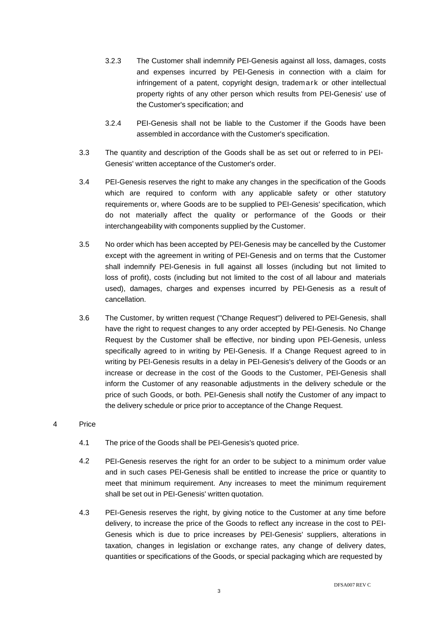- 3.2.3 The Customer shall indemnify PEI-Genesis against all loss, damages, costs and expenses incurred by PEI-Genesis in connection with a claim for infringement of a patent, copyright design, trademark or other intellectual property rights of any other person which results from PEI-Genesis' use of the Customer's specification; and
- 3.2.4 PEI-Genesis shall not be liable to the Customer if the Goods have been assembled in accordance with the Customer's specification.
- 3.3 The quantity and description of the Goods shall be as set out or referred to in PEI-Genesis' written acceptance of the Customer's order.
- 3.4 PEI-Genesis reserves the right to make any changes in the specification of the Goods which are required to conform with any applicable safety or other statutory requirements or, where Goods are to be supplied to PEI-Genesis' specification, which do not materially affect the quality or performance of the Goods or their interchangeability with components supplied by the Customer.
- 3.5 No order which has been accepted by PEI-Genesis may be cancelled by the Customer except with the agreement in writing of PEI-Genesis and on terms that the Customer shall indemnify PEI-Genesis in full against all losses (including but not limited to loss of profit), costs (including but not limited to the cost of all labour and materials used), damages, charges and expenses incurred by PEI-Genesis as a result of cancellation.
- 3.6 The Customer, by written request ("Change Request") delivered to PEI-Genesis, shall have the right to request changes to any order accepted by PEI-Genesis. No Change Request by the Customer shall be effective, nor binding upon PEI-Genesis, unless specifically agreed to in writing by PEI-Genesis. If a Change Request agreed to in writing by PEI-Genesis results in a delay in PEI-Genesis's delivery of the Goods or an increase or decrease in the cost of the Goods to the Customer, PEI-Genesis shall inform the Customer of any reasonable adjustments in the delivery schedule or the price of such Goods, or both. PEI-Genesis shall notify the Customer of any impact to the delivery schedule or price prior to acceptance of the Change Request.
- 4 Price
	- 4.1 The price of the Goods shall be PEI-Genesis's quoted price.
	- 4.2 PEI-Genesis reserves the right for an order to be subject to a minimum order value and in such cases PEI-Genesis shall be entitled to increase the price or quantity to meet that minimum requirement. Any increases to meet the minimum requirement shall be set out in PEI-Genesis' written quotation.
	- 4.3 PEI-Genesis reserves the right, by giving notice to the Customer at any time before delivery, to increase the price of the Goods to reflect any increase in the cost to PEI-Genesis which is due to price increases by PEI-Genesis' suppliers, alterations in taxation, changes in legislation or exchange rates, any change of delivery dates, quantities or specifications of the Goods, or special packaging which are requested by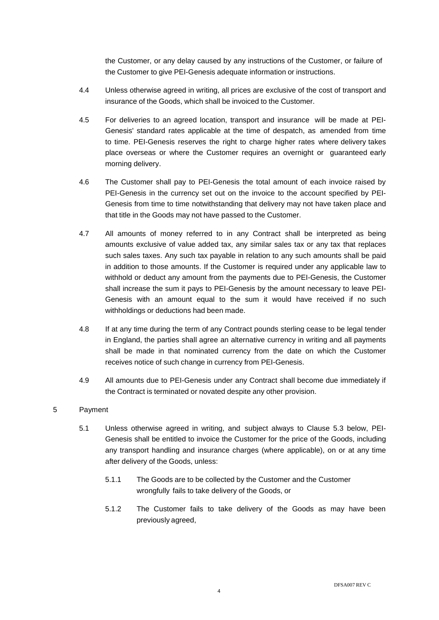the Customer, or any delay caused by any instructions of the Customer, or failure of the Customer to give PEI-Genesis adequate information or instructions.

- 4.4 Unless otherwise agreed in writing, all prices are exclusive of the cost of transport and insurance of the Goods, which shall be invoiced to the Customer.
- 4.5 For deliveries to an agreed location, transport and insurance will be made at PEI-Genesis' standard rates applicable at the time of despatch, as amended from time to time. PEI-Genesis reserves the right to charge higher rates where delivery takes place overseas or where the Customer requires an overnight or guaranteed early morning delivery.
- 4.6 The Customer shall pay to PEI-Genesis the total amount of each invoice raised by PEI-Genesis in the currency set out on the invoice to the account specified by PEI-Genesis from time to time notwithstanding that delivery may not have taken place and that title in the Goods may not have passed to the Customer.
- 4.7 All amounts of money referred to in any Contract shall be interpreted as being amounts exclusive of value added tax, any similar sales tax or any tax that replaces such sales taxes. Any such tax payable in relation to any such amounts shall be paid in addition to those amounts. If the Customer is required under any applicable law to withhold or deduct any amount from the payments due to PEI-Genesis, the Customer shall increase the sum it pays to PEI-Genesis by the amount necessary to leave PEI-Genesis with an amount equal to the sum it would have received if no such withholdings or deductions had been made.
- 4.8 If at any time during the term of any Contract pounds sterling cease to be legal tender in England, the parties shall agree an alternative currency in writing and all payments shall be made in that nominated currency from the date on which the Customer receives notice of such change in currency from PEI-Genesis.
- 4.9 All amounts due to PEI-Genesis under any Contract shall become due immediately if the Contract is terminated or novated despite any other provision.

# 5 Payment

- 5.1 Unless otherwise agreed in writing, and subject always to Clause [5.3](#page-4-0) below, PEI-Genesis shall be entitled to invoice the Customer for the price of the Goods, including any transport handling and insurance charges (where applicable), on or at any time after delivery of the Goods, unless:
	- 5.1.1 The Goods are to be collected by the Customer and the Customer wrongfully fails to take delivery of the Goods, or
	- 5.1.2 The Customer fails to take delivery of the Goods as may have been previously agreed,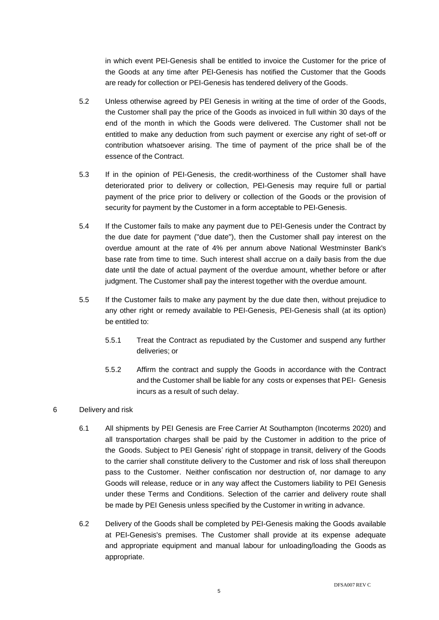in which event PEI-Genesis shall be entitled to invoice the Customer for the price of the Goods at any time after PEI-Genesis has notified the Customer that the Goods are ready for collection or PEI-Genesis has tendered delivery of the Goods.

- 5.2 Unless otherwise agreed by PEI Genesis in writing at the time of order of the Goods, the Customer shall pay the price of the Goods as invoiced in full within 30 days of the end of the month in which the Goods were delivered. The Customer shall not be entitled to make any deduction from such payment or exercise any right of set-off or contribution whatsoever arising. The time of payment of the price shall be of the essence of the Contract.
- <span id="page-4-0"></span>5.3 If in the opinion of PEI-Genesis, the credit-worthiness of the Customer shall have deteriorated prior to delivery or collection, PEI-Genesis may require full or partial payment of the price prior to delivery or collection of the Goods or the provision of security for payment by the Customer in a form acceptable to PEI-Genesis.
- 5.4 If the Customer fails to make any payment due to PEI-Genesis under the Contract by the due date for payment ("due date"), then the Customer shall pay interest on the overdue amount at the rate of 4% per annum above National Westminster Bank's base rate from time to time. Such interest shall accrue on a daily basis from the due date until the date of actual payment of the overdue amount, whether before or after judgment. The Customer shall pay the interest together with the overdue amount.
- <span id="page-4-1"></span>5.5 If the Customer fails to make any payment by the due date then, without prejudice to any other right or remedy available to PEI-Genesis, PEI-Genesis shall (at its option) be entitled to:
	- 5.5.1 Treat the Contract as repudiated by the Customer and suspend any further deliveries; or
	- 5.5.2 Affirm the contract and supply the Goods in accordance with the Contract and the Customer shall be liable for any costs or expenses that PEI- Genesis incurs as a result of such delay.

# 6 Delivery and risk

- 6.1 All shipments by PEI Genesis are Free Carrier At Southampton (Incoterms 2020) and all transportation charges shall be paid by the Customer in addition to the price of the Goods. Subject to PEI Genesis' right of stoppage in transit, delivery of the Goods to the carrier shall constitute delivery to the Customer and risk of loss shall thereupon pass to the Customer. Neither confiscation nor destruction of, nor damage to any Goods will release, reduce or in any way affect the Customers liability to PEI Genesis under these Terms and Conditions. Selection of the carrier and delivery route shall be made by PEI Genesis unless specified by the Customer in writing in advance.
- 6.2 Delivery of the Goods shall be completed by PEI-Genesis making the Goods available at PEI-Genesis's premises. The Customer shall provide at its expense adequate and appropriate equipment and manual labour for unloading/loading the Goods as appropriate.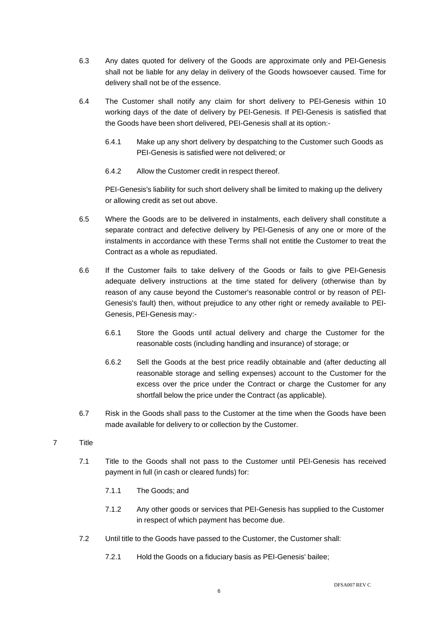- 6.3 Any dates quoted for delivery of the Goods are approximate only and PEI-Genesis shall not be liable for any delay in delivery of the Goods howsoever caused. Time for delivery shall not be of the essence.
- 6.4 The Customer shall notify any claim for short delivery to PEI-Genesis within 10 working days of the date of delivery by PEI-Genesis. If PEI-Genesis is satisfied that the Goods have been short delivered, PEI-Genesis shall at its option:-
	- 6.4.1 Make up any short delivery by despatching to the Customer such Goods as PEI-Genesis is satisfied were not delivered; or
	- 6.4.2 Allow the Customer credit in respect thereof.

PEI-Genesis's liability for such short delivery shall be limited to making up the delivery or allowing credit as set out above.

- 6.5 Where the Goods are to be delivered in instalments, each delivery shall constitute a separate contract and defective delivery by PEI-Genesis of any one or more of the instalments in accordance with these Terms shall not entitle the Customer to treat the Contract as a whole as repudiated.
- 6.6 If the Customer fails to take delivery of the Goods or fails to give PEI-Genesis adequate delivery instructions at the time stated for delivery (otherwise than by reason of any cause beyond the Customer's reasonable control or by reason of PEI-Genesis's fault) then, without prejudice to any other right or remedy available to PEI-Genesis, PEI-Genesis may:-
	- 6.6.1 Store the Goods until actual delivery and charge the Customer for the reasonable costs (including handling and insurance) of storage; or
	- 6.6.2 Sell the Goods at the best price readily obtainable and (after deducting all reasonable storage and selling expenses) account to the Customer for the excess over the price under the Contract or charge the Customer for any shortfall below the price under the Contract (as applicable).
- 6.7 Risk in the Goods shall pass to the Customer at the time when the Goods have been made available for delivery to or collection by the Customer.
- 7 Title
	- 7.1 Title to the Goods shall not pass to the Customer until PEI-Genesis has received payment in full (in cash or cleared funds) for:
		- 7.1.1 The Goods; and
		- 7.1.2 Any other goods or services that PEI-Genesis has supplied to the Customer in respect of which payment has become due.
	- 7.2 Until title to the Goods have passed to the Customer, the Customer shall:
		- 7.2.1 Hold the Goods on a fiduciary basis as PEI-Genesis' bailee;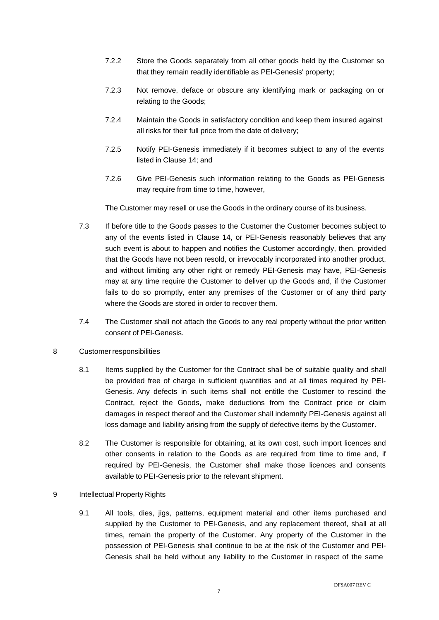- 7.2.2 Store the Goods separately from all other goods held by the Customer so that they remain readily identifiable as PEI-Genesis' property;
- 7.2.3 Not remove, deface or obscure any identifying mark or packaging on or relating to the Goods;
- 7.2.4 Maintain the Goods in satisfactory condition and keep them insured against all risks for their full price from the date of delivery;
- 7.2.5 Notify PEI-Genesis immediately if it becomes subject to any of the events listed in Clause [14;](#page-11-0) and
- 7.2.6 Give PEI-Genesis such information relating to the Goods as PEI-Genesis may require from time to time, however,

The Customer may resell or use the Goods in the ordinary course of its business.

- 7.3 If before title to the Goods passes to the Customer the Customer becomes subject to any of the events listed in Clause [14,](#page-11-0) or PEI-Genesis reasonably believes that any such event is about to happen and notifies the Customer accordingly, then, provided that the Goods have not been resold, or irrevocably incorporated into another product, and without limiting any other right or remedy PEI-Genesis may have, PEI-Genesis may at any time require the Customer to deliver up the Goods and, if the Customer fails to do so promptly, enter any premises of the Customer or of any third party where the Goods are stored in order to recover them.
- 7.4 The Customer shall not attach the Goods to any real property without the prior written consent of PEI-Genesis.
- 8 Customer responsibilities
	- 8.1 Items supplied by the Customer for the Contract shall be of suitable quality and shall be provided free of charge in sufficient quantities and at all times required by PEI-Genesis. Any defects in such items shall not entitle the Customer to rescind the Contract, reject the Goods, make deductions from the Contract price or claim damages in respect thereof and the Customer shall indemnify PEI-Genesis against all loss damage and liability arising from the supply of defective items by the Customer.
	- 8.2 The Customer is responsible for obtaining, at its own cost, such import licences and other consents in relation to the Goods as are required from time to time and, if required by PEI-Genesis, the Customer shall make those licences and consents available to PEI-Genesis prior to the relevant shipment.
- 9 Intellectual Property Rights
	- 9.1 All tools, dies, jigs, patterns, equipment material and other items purchased and supplied by the Customer to PEI-Genesis, and any replacement thereof, shall at all times, remain the property of the Customer. Any property of the Customer in the possession of PEI-Genesis shall continue to be at the risk of the Customer and PEI-Genesis shall be held without any liability to the Customer in respect of the same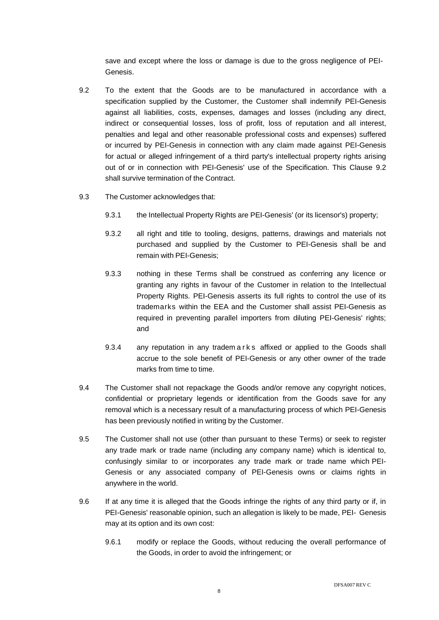save and except where the loss or damage is due to the gross negligence of PEI-Genesis.

- <span id="page-7-0"></span>9.2 To the extent that the Goods are to be manufactured in accordance with a specification supplied by the Customer, the Customer shall indemnify PEI-Genesis against all liabilities, costs, expenses, damages and losses (including any direct, indirect or consequential losses, loss of profit, loss of reputation and all interest, penalties and legal and other reasonable professional costs and expenses) suffered or incurred by PEI-Genesis in connection with any claim made against PEI-Genesis for actual or alleged infringement of a third party's intellectual property rights arising out of or in connection with PEI-Genesis' use of the Specification. This Clause [9.2](#page-7-0) shall survive termination of the Contract.
- 9.3 The Customer acknowledges that:
	- 9.3.1 the Intellectual Property Rights are PEI-Genesis' (or its licensor's) property;
	- 9.3.2 all right and title to tooling, designs, patterns, drawings and materials not purchased and supplied by the Customer to PEI-Genesis shall be and remain with PEI-Genesis;
	- 9.3.3 nothing in these Terms shall be construed as conferring any licence or granting any rights in favour of the Customer in relation to the Intellectual Property Rights. PEI-Genesis asserts its full rights to control the use of its trademarks within the EEA and the Customer shall assist PEI-Genesis as required in preventing parallel importers from diluting PEI-Genesis' rights; and
	- 9.3.4 any reputation in any tradem a r k s affixed or applied to the Goods shall accrue to the sole benefit of PEI-Genesis or any other owner of the trade marks from time to time.
- 9.4 The Customer shall not repackage the Goods and/or remove any copyright notices, confidential or proprietary legends or identification from the Goods save for any removal which is a necessary result of a manufacturing process of which PEI-Genesis has been previously notified in writing by the Customer.
- 9.5 The Customer shall not use (other than pursuant to these Terms) or seek to register any trade mark or trade name (including any company name) which is identical to, confusingly similar to or incorporates any trade mark or trade name which PEI-Genesis or any associated company of PEI-Genesis owns or claims rights in anywhere in the world.
- 9.6 If at any time it is alleged that the Goods infringe the rights of any third party or if, in PEI-Genesis' reasonable opinion, such an allegation is likely to be made, PEI- Genesis may at its option and its own cost:
	- 9.6.1 modify or replace the Goods, without reducing the overall performance of the Goods, in order to avoid the infringement; or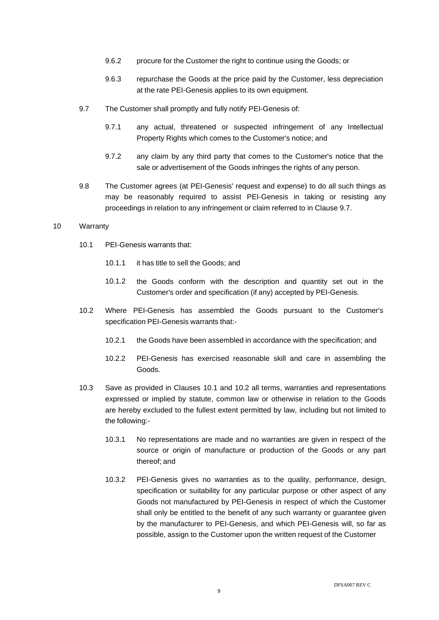- 9.6.2 procure for the Customer the right to continue using the Goods; or
- 9.6.3 repurchase the Goods at the price paid by the Customer, less depreciation at the rate PEI-Genesis applies to its own equipment.
- <span id="page-8-0"></span>9.7 The Customer shall promptly and fully notify PEI-Genesis of:
	- 9.7.1 any actual, threatened or suspected infringement of any Intellectual Property Rights which comes to the Customer's notice; and
	- 9.7.2 any claim by any third party that comes to the Customer's notice that the sale or advertisement of the Goods infringes the rights of any person.
- 9.8 The Customer agrees (at PEI-Genesis' request and expense) to do all such things as may be reasonably required to assist PEI-Genesis in taking or resisting any proceedings in relation to any infringement or claim referred to in Clause [9.7.](#page-8-0)

#### <span id="page-8-1"></span>10 Warranty

- 10.1 PEI-Genesis warrants that:
	- 10.1.1 it has title to sell the Goods; and
	- 10.1.2 the Goods conform with the description and quantity set out in the Customer's order and specification (if any) accepted by PEI-Genesis.
- <span id="page-8-2"></span>10.2 Where PEI-Genesis has assembled the Goods pursuant to the Customer's specification PEI-Genesis warrants that:-
	- 10.2.1 the Goods have been assembled in accordance with the specification; and
	- 10.2.2 PEI-Genesis has exercised reasonable skill and care in assembling the Goods.
- 10.3 Save as provided in Clauses [10.1](#page-8-1) and [10.2](#page-8-2) all terms, warranties and representations expressed or implied by statute, common law or otherwise in relation to the Goods are hereby excluded to the fullest extent permitted by law, including but not limited to the following:-
	- 10.3.1 No representations are made and no warranties are given in respect of the source or origin of manufacture or production of the Goods or any part thereof; and
	- 10.3.2 PEI-Genesis gives no warranties as to the quality, performance, design, specification or suitability for any particular purpose or other aspect of any Goods not manufactured by PEI-Genesis in respect of which the Customer shall only be entitled to the benefit of any such warranty or guarantee given by the manufacturer to PEI-Genesis, and which PEI-Genesis will, so far as possible, assign to the Customer upon the written request of the Customer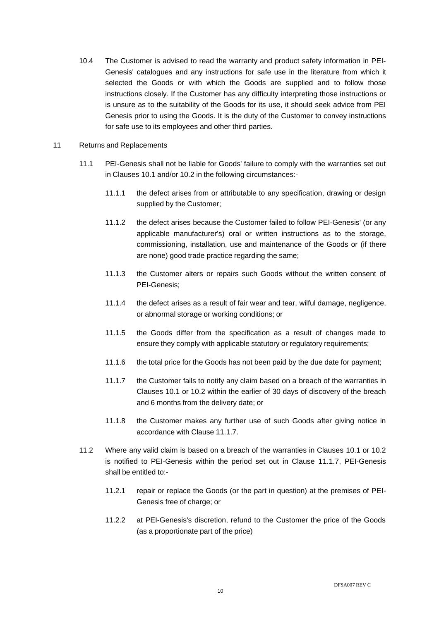- 10.4 The Customer is advised to read the warranty and product safety information in PEI-Genesis' catalogues and any instructions for safe use in the literature from which it selected the Goods or with which the Goods are supplied and to follow those instructions closely. If the Customer has any difficulty interpreting those instructions or is unsure as to the suitability of the Goods for its use, it should seek advice from PEI Genesis prior to using the Goods. It is the duty of the Customer to convey instructions for safe use to its employees and other third parties.
- <span id="page-9-2"></span><span id="page-9-1"></span><span id="page-9-0"></span>11 Returns and Replacements
	- 11.1 PEI-Genesis shall not be liable for Goods' failure to comply with the warranties set out in Clauses [10.1](#page-8-1) and/or [10.2](#page-8-2) in the following circumstances:-
		- 11.1.1 the defect arises from or attributable to any specification, drawing or design supplied by the Customer;
		- 11.1.2 the defect arises because the Customer failed to follow PEI-Genesis' (or any applicable manufacturer's) oral or written instructions as to the storage, commissioning, installation, use and maintenance of the Goods or (if there are none) good trade practice regarding the same;
		- 11.1.3 the Customer alters or repairs such Goods without the written consent of PEI-Genesis;
		- 11.1.4 the defect arises as a result of fair wear and tear, wilful damage, negligence, or abnormal storage or working conditions; or
		- 11.1.5 the Goods differ from the specification as a result of changes made to ensure they comply with applicable statutory or regulatory requirements;
		- 11.1.6 the total price for the Goods has not been paid by the due date for payment;
		- 11.1.7 the Customer fails to notify any claim based on a breach of the warranties in Clauses [10.1](#page-8-1) or [10.2](#page-8-2) within the earlier of 30 days of discovery of the breach and 6 months from the delivery date; or
		- 11.1.8 the Customer makes any further use of such Goods after giving notice in accordance with Clause [11.1.7.](#page-9-0)
	- 11.2 Where any valid claim is based on a breach of the warranties in Clauses [10.1](#page-8-1) or [10.2](#page-8-2) is notified to PEI-Genesis within the period set out in Clause [11.1.7,](#page-9-0) PEI-Genesis shall be entitled to:-
		- 11.2.1 repair or replace the Goods (or the part in question) at the premises of PEI-Genesis free of charge; or
		- 11.2.2 at PEI-Genesis's discretion, refund to the Customer the price of the Goods (as a proportionate part of the price)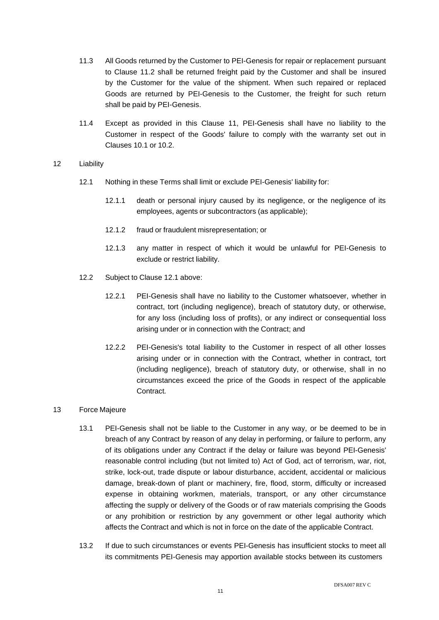- 11.3 All Goods returned by the Customer to PEI-Genesis for repair or replacement pursuant to Clause [11.2](#page-9-1) shall be returned freight paid by the Customer and shall be insured by the Customer for the value of the shipment. When such repaired or replaced Goods are returned by PEI-Genesis to the Customer, the freight for such return shall be paid by PEI-Genesis.
- 11.4 Except as provided in this Clause [11,](#page-9-2) PEI-Genesis shall have no liability to the Customer in respect of the Goods' failure to comply with the warranty set out in Clauses [10.1](#page-8-1) or [10.2.](#page-8-2)

# <span id="page-10-0"></span>12 Liability

- 12.1 Nothing in these Terms shall limit or exclude PEI-Genesis' liability for:
	- 12.1.1 death or personal injury caused by its negligence, or the negligence of its employees, agents or subcontractors (as applicable);
	- 12.1.2 fraud or fraudulent misrepresentation; or
	- 12.1.3 any matter in respect of which it would be unlawful for PEI-Genesis to exclude or restrict liability.
- 12.2 Subject to Clause [12.1](#page-10-0) above:
	- 12.2.1 PEI-Genesis shall have no liability to the Customer whatsoever, whether in contract, tort (including negligence), breach of statutory duty, or otherwise, for any loss (including loss of profits), or any indirect or consequential loss arising under or in connection with the Contract; and
	- 12.2.2 PEI-Genesis's total liability to the Customer in respect of all other losses arising under or in connection with the Contract, whether in contract, tort (including negligence), breach of statutory duty, or otherwise, shall in no circumstances exceed the price of the Goods in respect of the applicable Contract.

#### 13 Force Majeure

- 13.1 PEI-Genesis shall not be liable to the Customer in any way, or be deemed to be in breach of any Contract by reason of any delay in performing, or failure to perform, any of its obligations under any Contract if the delay or failure was beyond PEI-Genesis' reasonable control including (but not limited to) Act of God, act of terrorism, war, riot, strike, lock-out, trade dispute or labour disturbance, accident, accidental or malicious damage, break-down of plant or machinery, fire, flood, storm, difficulty or increased expense in obtaining workmen, materials, transport, or any other circumstance affecting the supply or delivery of the Goods or of raw materials comprising the Goods or any prohibition or restriction by any government or other legal authority which affects the Contract and which is not in force on the date of the applicable Contract.
- 13.2 If due to such circumstances or events PEI-Genesis has insufficient stocks to meet all its commitments PEI-Genesis may apportion available stocks between its customers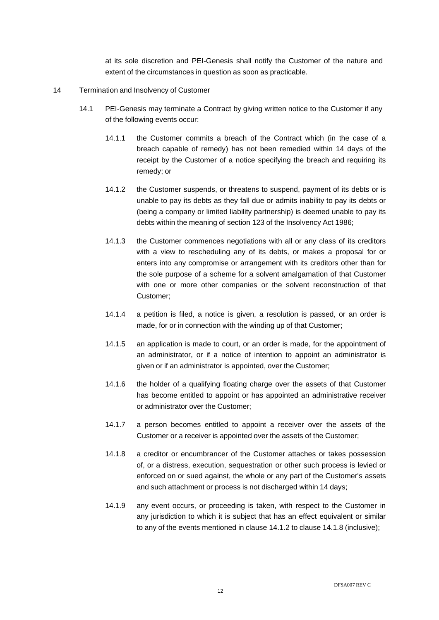at its sole discretion and PEI-Genesis shall notify the Customer of the nature and extent of the circumstances in question as soon as practicable.

- <span id="page-11-3"></span><span id="page-11-2"></span><span id="page-11-1"></span><span id="page-11-0"></span>14 Termination and Insolvency of Customer
	- 14.1 PEI-Genesis may terminate a Contract by giving written notice to the Customer if any of the following events occur:
		- 14.1.1 the Customer commits a breach of the Contract which (in the case of a breach capable of remedy) has not been remedied within 14 days of the receipt by the Customer of a notice specifying the breach and requiring its remedy; or
		- 14.1.2 the Customer suspends, or threatens to suspend, payment of its debts or is unable to pay its debts as they fall due or admits inability to pay its debts or (being a company or limited liability partnership) is deemed unable to pay its debts within the meaning of section 123 of the Insolvency Act 1986;
		- 14.1.3 the Customer commences negotiations with all or any class of its creditors with a view to rescheduling any of its debts, or makes a proposal for or enters into any compromise or arrangement with its creditors other than for the sole purpose of a scheme for a solvent amalgamation of that Customer with one or more other companies or the solvent reconstruction of that Customer;
		- 14.1.4 a petition is filed, a notice is given, a resolution is passed, or an order is made, for or in connection with the winding up of that Customer;
		- 14.1.5 an application is made to court, or an order is made, for the appointment of an administrator, or if a notice of intention to appoint an administrator is given or if an administrator is appointed, over the Customer;
		- 14.1.6 the holder of a qualifying floating charge over the assets of that Customer has become entitled to appoint or has appointed an administrative receiver or administrator over the Customer;
		- 14.1.7 a person becomes entitled to appoint a receiver over the assets of the Customer or a receiver is appointed over the assets of the Customer;
		- 14.1.8 a creditor or encumbrancer of the Customer attaches or takes possession of, or a distress, execution, sequestration or other such process is levied or enforced on or sued against, the whole or any part of the Customer's assets and such attachment or process is not discharged within 14 days;
		- 14.1.9 any event occurs, or proceeding is taken, with respect to the Customer in any jurisdiction to which it is subject that has an effect equivalent or similar to any of the events mentioned in clause [14.1.2](#page-11-1) to clause [14.1.8](#page-11-2) (inclusive);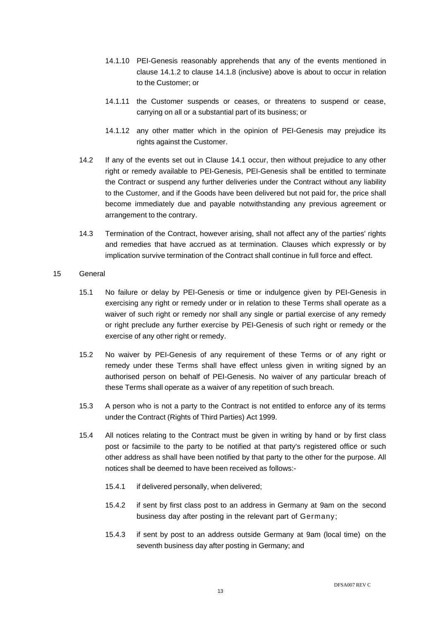- 14.1.10 PEI-Genesis reasonably apprehends that any of the events mentioned in clause [14.1.2](#page-11-1) to clause [14.1.8](#page-11-2) (inclusive) above is about to occur in relation to the Customer; or
- 14.1.11 the Customer suspends or ceases, or threatens to suspend or cease, carrying on all or a substantial part of its business; or
- 14.1.12 any other matter which in the opinion of PEI-Genesis may prejudice its rights against the Customer.
- 14.2 If any of the events set out in Clause [14.1](#page-11-3) occur, then without prejudice to any other right or remedy available to PEI-Genesis, PEI-Genesis shall be entitled to terminate the Contract or suspend any further deliveries under the Contract without any liability to the Customer, and if the Goods have been delivered but not paid for, the price shall become immediately due and payable notwithstanding any previous agreement or arrangement to the contrary.
- 14.3 Termination of the Contract, however arising, shall not affect any of the parties' rights and remedies that have accrued as at termination. Clauses which expressly or by implication survive termination of the Contract shall continue in full force and effect.

#### 15 General

- 15.1 No failure or delay by PEI-Genesis or time or indulgence given by PEI-Genesis in exercising any right or remedy under or in relation to these Terms shall operate as a waiver of such right or remedy nor shall any single or partial exercise of any remedy or right preclude any further exercise by PEI-Genesis of such right or remedy or the exercise of any other right or remedy.
- 15.2 No waiver by PEI-Genesis of any requirement of these Terms or of any right or remedy under these Terms shall have effect unless given in writing signed by an authorised person on behalf of PEI-Genesis. No waiver of any particular breach of these Terms shall operate as a waiver of any repetition of such breach.
- 15.3 A person who is not a party to the Contract is not entitled to enforce any of its terms under the Contract (Rights of Third Parties) Act 1999.
- 15.4 All notices relating to the Contract must be given in writing by hand or by first class post or facsimile to the party to be notified at that party's registered office or such other address as shall have been notified by that party to the other for the purpose. All notices shall be deemed to have been received as follows:-
	- 15.4.1 if delivered personally, when delivered;
	- 15.4.2 if sent by first class post to an address in Germany at 9am on the second business day after posting in the relevant part of Germany;
	- 15.4.3 if sent by post to an address outside Germany at 9am (local time) on the seventh business day after posting in Germany; and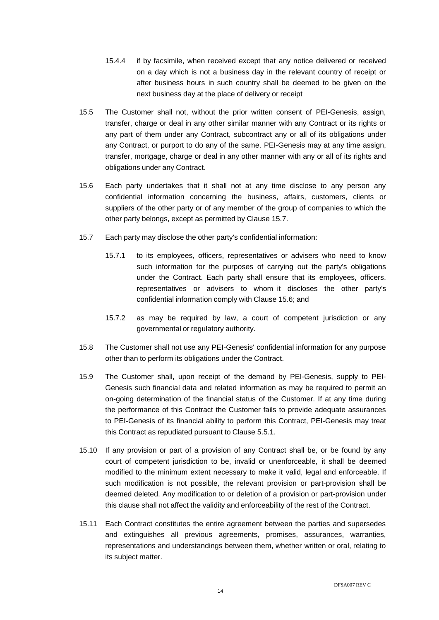- 15.4.4 if by facsimile, when received except that any notice delivered or received on a day which is not a business day in the relevant country of receipt or after business hours in such country shall be deemed to be given on the next business day at the place of delivery or receipt
- 15.5 The Customer shall not, without the prior written consent of PEI-Genesis, assign, transfer, charge or deal in any other similar manner with any Contract or its rights or any part of them under any Contract, subcontract any or all of its obligations under any Contract, or purport to do any of the same. PEI-Genesis may at any time assign, transfer, mortgage, charge or deal in any other manner with any or all of its rights and obligations under any Contract.
- <span id="page-13-1"></span>15.6 Each party undertakes that it shall not at any time disclose to any person any confidential information concerning the business, affairs, customers, clients or suppliers of the other party or of any member of the group of companies to which the other party belongs, except as permitted by Clause [15.7.](#page-13-0)
- <span id="page-13-0"></span>15.7 Each party may disclose the other party's confidential information:
	- 15.7.1 to its employees, officers, representatives or advisers who need to know such information for the purposes of carrying out the party's obligations under the Contract. Each party shall ensure that its employees, officers, representatives or advisers to whom it discloses the other party's confidential information comply with Clause [15.6;](#page-13-1) and
	- 15.7.2 as may be required by law, a court of competent jurisdiction or any governmental or regulatory authority.
- 15.8 The Customer shall not use any PEI-Genesis' confidential information for any purpose other than to perform its obligations under the Contract.
- 15.9 The Customer shall, upon receipt of the demand by PEI-Genesis, supply to PEI-Genesis such financial data and related information as may be required to permit an on-going determination of the financial status of the Customer. If at any time during the performance of this Contract the Customer fails to provide adequate assurances to PEI-Genesis of its financial ability to perform this Contract, PEI-Genesis may treat this Contract as repudiated pursuant to Clause [5.5.1.](#page-4-1)
- 15.10 If any provision or part of a provision of any Contract shall be, or be found by any court of competent jurisdiction to be, invalid or unenforceable, it shall be deemed modified to the minimum extent necessary to make it valid, legal and enforceable. If such modification is not possible, the relevant provision or part-provision shall be deemed deleted. Any modification to or deletion of a provision or part-provision under this clause shall not affect the validity and enforceability of the rest of the Contract.
- 15.11 Each Contract constitutes the entire agreement between the parties and supersedes and extinguishes all previous agreements, promises, assurances, warranties, representations and understandings between them, whether written or oral, relating to its subject matter.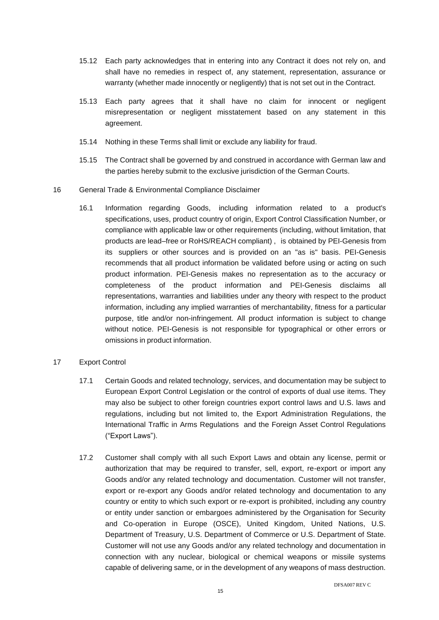- 15.12 Each party acknowledges that in entering into any Contract it does not rely on, and shall have no remedies in respect of, any statement, representation, assurance or warranty (whether made innocently or negligently) that is not set out in the Contract.
- 15.13 Each party agrees that it shall have no claim for innocent or negligent misrepresentation or negligent misstatement based on any statement in this agreement.
- 15.14 Nothing in these Terms shall limit or exclude any liability for fraud.
- 15.15 The Contract shall be governed by and construed in accordance with German law and the parties hereby submit to the exclusive jurisdiction of the German Courts.
- 16 General Trade & Environmental Compliance Disclaimer
	- 16.1 Information regarding Goods, including information related to a product's specifications, uses, product country of origin, Export Control Classification Number, or compliance with applicable law or other requirements (including, without limitation, that products are lead–free or RoHS/REACH compliant) , is obtained by PEI-Genesis from its suppliers or other sources and is provided on an "as is" basis. PEI-Genesis recommends that all product information be validated before using or acting on such product information. PEI-Genesis makes no representation as to the accuracy or completeness of the product information and PEI-Genesis disclaims all representations, warranties and liabilities under any theory with respect to the product information, including any implied warranties of merchantability, fitness for a particular purpose, title and/or non-infringement. All product information is subject to change without notice. PEI-Genesis is not responsible for typographical or other errors or omissions in product information.
- 17 Export Control
	- 17.1 Certain Goods and related technology, services, and documentation may be subject to European Export Control Legislation or the control of exports of dual use items. They may also be subject to other foreign countries export control laws and U.S. laws and regulations, including but not limited to, the Export Administration Regulations, the International Traffic in Arms Regulations and the Foreign Asset Control Regulations ("Export Laws").
	- 17.2 Customer shall comply with all such Export Laws and obtain any license, permit or authorization that may be required to transfer, sell, export, re-export or import any Goods and/or any related technology and documentation. Customer will not transfer, export or re-export any Goods and/or related technology and documentation to any country or entity to which such export or re-export is prohibited, including any country or entity under sanction or embargoes administered by the Organisation for Security and Co-operation in Europe (OSCE), United Kingdom, United Nations, U.S. Department of Treasury, U.S. Department of Commerce or U.S. Department of State. Customer will not use any Goods and/or any related technology and documentation in connection with any nuclear, biological or chemical weapons or missile systems capable of delivering same, or in the development of any weapons of mass destruction.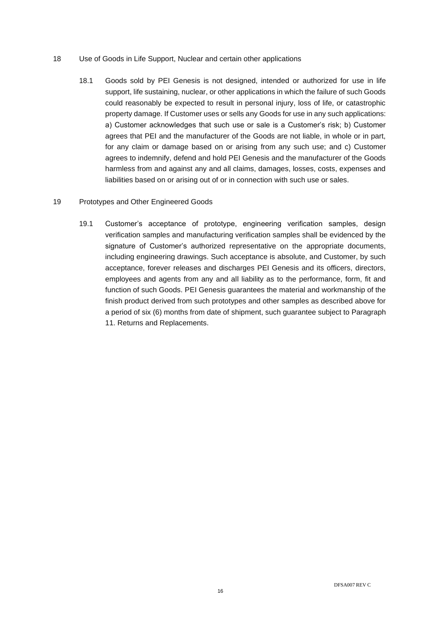### 18 Use of Goods in Life Support, Nuclear and certain other applications

18.1 Goods sold by PEI Genesis is not designed, intended or authorized for use in life support, life sustaining, nuclear, or other applications in which the failure of such Goods could reasonably be expected to result in personal injury, loss of life, or catastrophic property damage. If Customer uses or sells any Goods for use in any such applications: a) Customer acknowledges that such use or sale is a Customer's risk; b) Customer agrees that PEI and the manufacturer of the Goods are not liable, in whole or in part, for any claim or damage based on or arising from any such use; and c) Customer agrees to indemnify, defend and hold PEI Genesis and the manufacturer of the Goods harmless from and against any and all claims, damages, losses, costs, expenses and liabilities based on or arising out of or in connection with such use or sales.

### 19 Prototypes and Other Engineered Goods

19.1 Customer's acceptance of prototype, engineering verification samples, design verification samples and manufacturing verification samples shall be evidenced by the signature of Customer's authorized representative on the appropriate documents, including engineering drawings. Such acceptance is absolute, and Customer, by such acceptance, forever releases and discharges PEI Genesis and its officers, directors, employees and agents from any and all liability as to the performance, form, fit and function of such Goods. PEI Genesis guarantees the material and workmanship of the finish product derived from such prototypes and other samples as described above for a period of six (6) months from date of shipment, such guarantee subject to Paragraph 11. Returns and Replacements.